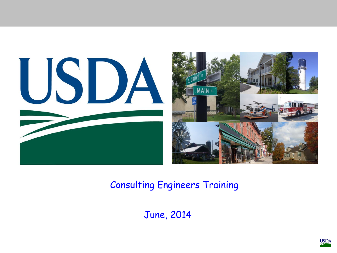

#### Consulting Engineers Training

June, 2014

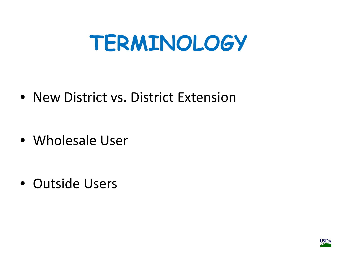## **TERMINOLOGY**

• New District vs. District Extension

• Wholesale User

• Outside Users

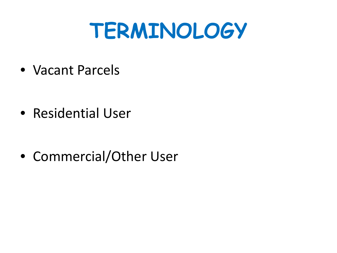## **TERMINOLOGY**

• Vacant Parcels

• Residential User

• Commercial/Other User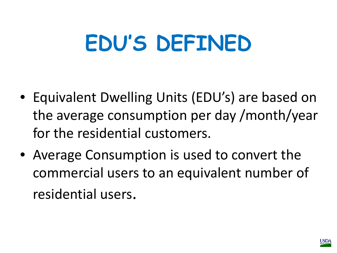## **EDU'S DEFINED**

- Equivalent Dwelling Units (EDU's) are based on the average consumption per day /month/year for the residential customers.
- Average Consumption is used to convert the commercial users to an equivalent number of residential users.

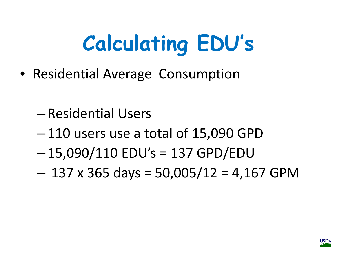- Residential Average Consumption
	- Residential Users
	- 110 users use a total of 15,090 GPD
	- 15,090/110 EDU's = 137 GPD/EDU
	- $-137$  x 365 days = 50,005/12 = 4,167 GPM

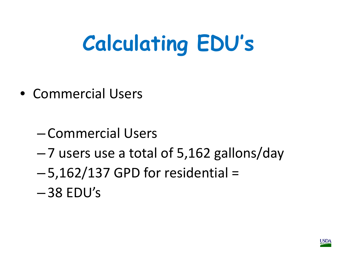- Commercial Users
	- Commercial Users
	- 7 users use a total of 5,162 gallons/day
	- $-5,162/137$  GPD for residential =
	- $-38$  EDU's

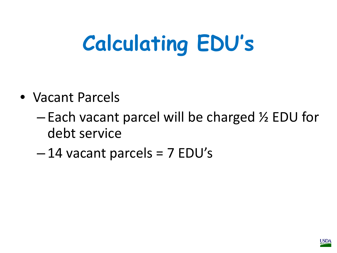- Vacant Parcels
	- Each vacant parcel will be charged ½ EDU for debt service
	- $-14$  vacant parcels = 7 EDU's

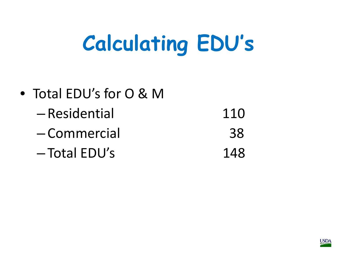| • Total EDU's for O & M |     |
|-------------------------|-----|
| -Residential            | 110 |
| -Commercial             | 38  |
| $-$ Total EDU's         | 148 |

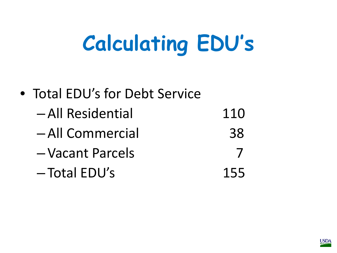| • Total EDU's for Debt Service |     |
|--------------------------------|-----|
| -All Residential               | 110 |
| -All Commercial                | 38  |
| -Vacant Parcels                |     |
| -Total EDU's                   | 155 |

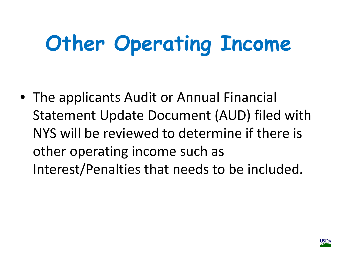# **Other Operating Income**

• The applicants Audit or Annual Financial Statement Update Document (AUD) filed with NYS will be reviewed to determine if there is other operating income such as Interest/Penalties that needs to be included.

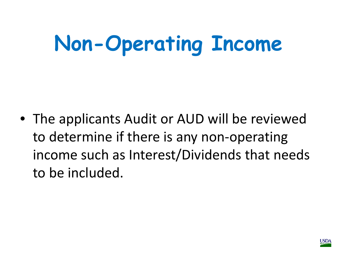## **Non-Operating Income**

• The applicants Audit or AUD will be reviewed to determine if there is any non-operating income such as Interest/Dividends that needs to be included.

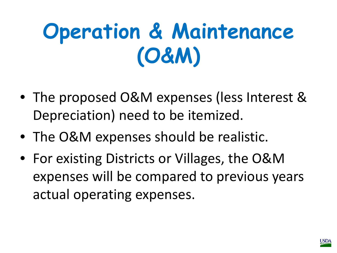## **Operation & Maintenance (O&M)**

- The proposed O&M expenses (less Interest & Depreciation) need to be itemized.
- The O&M expenses should be realistic.
- For existing Districts or Villages, the O&M expenses will be compared to previous years actual operating expenses.

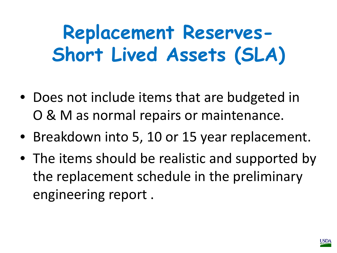**Replacement Reserves-Short Lived Assets (SLA)**

- Does not include items that are budgeted in O & M as normal repairs or maintenance.
- Breakdown into 5, 10 or 15 year replacement.
- The items should be realistic and supported by the replacement schedule in the preliminary engineering report .

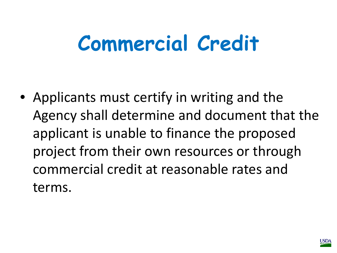## **Commercial Credit**

• Applicants must certify in writing and the Agency shall determine and document that the applicant is unable to finance the proposed project from their own resources or through commercial credit at reasonable rates and terms.

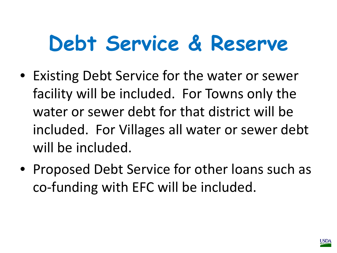## **Debt Service & Reserve**

- Existing Debt Service for the water or sewer facility will be included. For Towns only the water or sewer debt for that district will be included. For Villages all water or sewer debt will be included.
- Proposed Debt Service for other loans such as co-funding with EFC will be included.

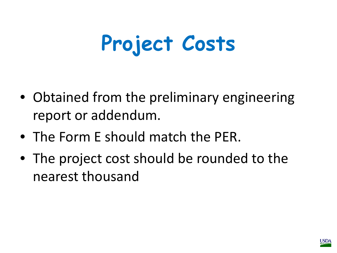## **Project Costs**

- Obtained from the preliminary engineering report or addendum.
- The Form E should match the PER.
- The project cost should be rounded to the nearest thousand

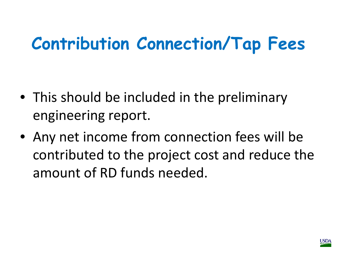#### **Contribution Connection/Tap Fees**

- This should be included in the preliminary engineering report.
- Any net income from connection fees will be contributed to the project cost and reduce the amount of RD funds needed.

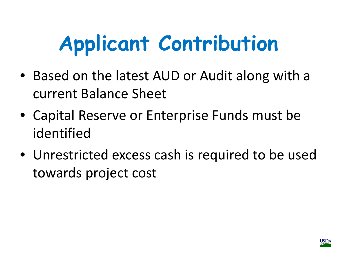# **Applicant Contribution**

- Based on the latest AUD or Audit along with a current Balance Sheet
- Capital Reserve or Enterprise Funds must be identified
- Unrestricted excess cash is required to be used towards project cost

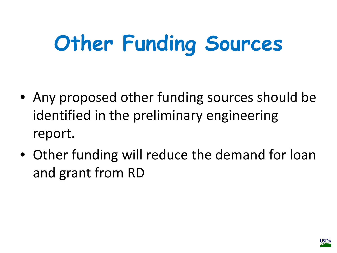# **Other Funding Sources**

- Any proposed other funding sources should be identified in the preliminary engineering report.
- Other funding will reduce the demand for loan and grant from RD

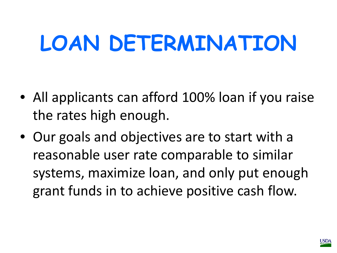## **LOAN DETERMINATION**

- All applicants can afford 100% loan if you raise the rates high enough.
- Our goals and objectives are to start with a reasonable user rate comparable to similar systems, maximize loan, and only put enough grant funds in to achieve positive cash flow.

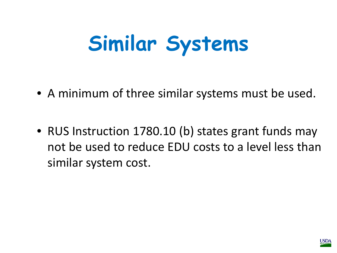## **Similar Systems**

- A minimum of three similar systems must be used.
- RUS Instruction 1780.10 (b) states grant funds may not be used to reduce EDU costs to a level less than similar system cost.

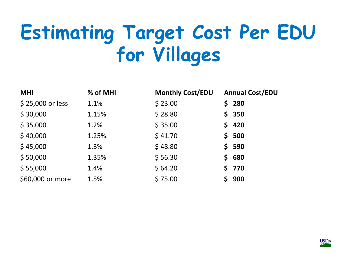## **Estimating Target Cost Per EDU for Villages**

| <b>MHI</b>       | % of MHI | <b>Monthly Cost/EDU</b> | <b>Annual Cost/EDU</b> |
|------------------|----------|-------------------------|------------------------|
| \$25,000 or less | 1.1%     | \$23.00                 | \$280                  |
| \$30,000         | 1.15%    | \$28.80                 | \$350                  |
| \$35,000         | 1.2%     | \$35.00                 | \$420                  |
| \$40,000         | 1.25%    | \$41.70                 | \$500                  |
| \$45,000         | 1.3%     | \$48.80                 | \$590                  |
| \$50,000         | 1.35%    | \$56.30                 | \$680                  |
| \$55,000         | 1.4%     | \$64.20                 | \$770                  |
| \$60,000 or more | 1.5%     | \$75.00                 | \$900                  |

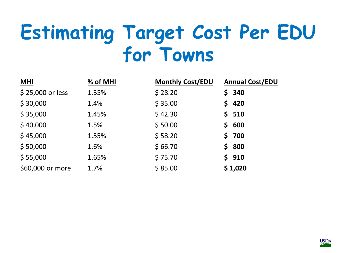#### **Estimating Target Cost Per EDU for Towns**

| ML               | % of MHI | <b>Monthly Cost/EDU</b> | <b>Annual Cost/EDU</b> |
|------------------|----------|-------------------------|------------------------|
| \$25,000 or less | 1.35%    | \$28.20                 | \$340                  |
| \$30,000         | 1.4%     | \$35.00                 | \$420                  |
| \$35,000         | 1.45%    | \$42.30                 | \$510                  |
| \$40,000         | 1.5%     | \$50.00                 | \$600                  |
| \$45,000         | 1.55%    | \$58.20                 | \$700                  |
| \$50,000         | 1.6%     | \$66.70                 | \$800                  |
| \$55,000         | 1.65%    | \$75.70                 | \$910                  |
| \$60,000 or more | 1.7%     | \$85.00                 | \$1,020                |

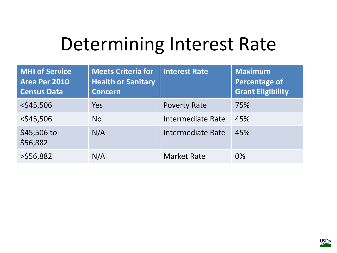#### Determining Interest Rate

| <b>MHI of Service</b><br>Area Per 2010<br><b>Census Data</b> | <b>Meets Criteria for</b><br><b>Health or Sanitary</b><br><b>Concern</b> | <b>Interest Rate</b>     | <b>Maximum</b><br><b>Percentage of</b><br><b>Grant Eligibility</b> |
|--------------------------------------------------------------|--------------------------------------------------------------------------|--------------------------|--------------------------------------------------------------------|
| $<$ \$45,506                                                 | Yes                                                                      | <b>Poverty Rate</b>      | 75%                                                                |
| $<$ \$45,506                                                 | <b>No</b>                                                                | <b>Intermediate Rate</b> | 45%                                                                |
| \$45,506 to<br>\$56,882                                      | N/A                                                                      | <b>Intermediate Rate</b> | 45%                                                                |
| $>$ \$56,882                                                 | N/A                                                                      | <b>Market Rate</b>       | 0%                                                                 |

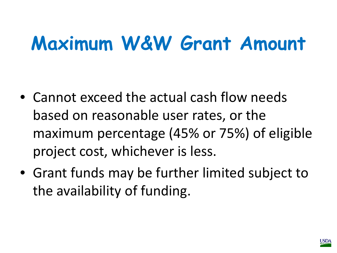## **Maximum W&W Grant Amount**

- Cannot exceed the actual cash flow needs based on reasonable user rates, or the maximum percentage (45% or 75%) of eligible project cost, whichever is less.
- Grant funds may be further limited subject to the availability of funding.

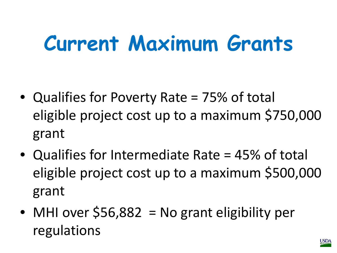## **Current Maximum Grants**

- Qualifies for Poverty Rate = 75% of total eligible project cost up to a maximum \$750,000 grant
- Qualifies for Intermediate Rate = 45% of total eligible project cost up to a maximum \$500,000 grant
- MHI over \$56,882 = No grant eligibility per regulations